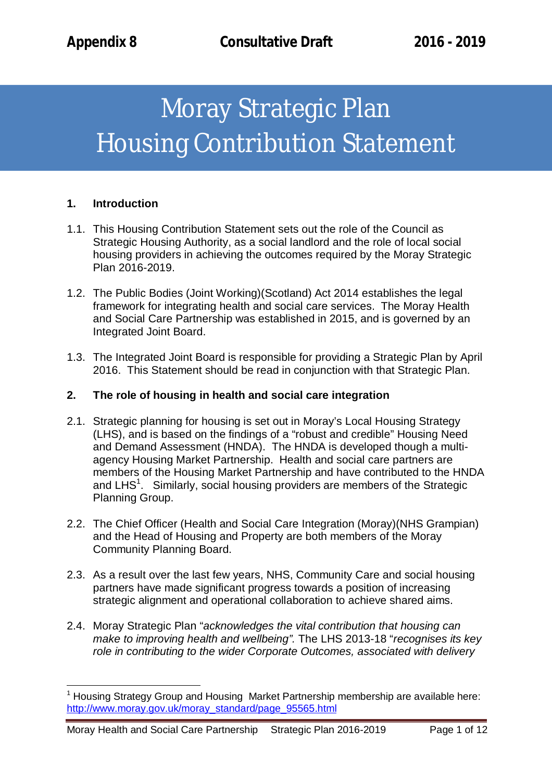# Moray Strategic Plan Housing Contribution Statement

### **1. Introduction**

 $\overline{\phantom{a}}$ 

- 1.1. This Housing Contribution Statement sets out the role of the Council as Strategic Housing Authority, as a social landlord and the role of local social housing providers in achieving the outcomes required by the Moray Strategic Plan 2016-2019.
- 1.2. The Public Bodies (Joint Working)(Scotland) Act 2014 establishes the legal framework for integrating health and social care services. The Moray Health and Social Care Partnership was established in 2015, and is governed by an Integrated Joint Board.
- 1.3. The Integrated Joint Board is responsible for providing a Strategic Plan by April 2016. This Statement should be read in conjunction with that Strategic Plan.

## **2. The role of housing in health and social care integration**

- 2.1. Strategic planning for housing is set out in Moray's Local Housing Strategy (LHS), and is based on the findings of a "robust and credible" Housing Need and Demand Assessment (HNDA). The HNDA is developed though a multiagency Housing Market Partnership. Health and social care partners are members of the Housing Market Partnership and have contributed to the HNDA and LHS $^1$ . Similarly, social housing providers are members of the Strategic Planning Group.
- 2.2. The Chief Officer (Health and Social Care Integration (Moray)(NHS Grampian) and the Head of Housing and Property are both members of the Moray Community Planning Board.
- 2.3. As a result over the last few years, NHS, Community Care and social housing partners have made significant progress towards a position of increasing strategic alignment and operational collaboration to achieve shared aims.
- 2.4. Moray Strategic Plan "*acknowledges the vital contribution that housing can make to improving health and wellbeing".* The LHS 2013-18 "*recognises its key role in contributing to the wider Corporate Outcomes, associated with delivery*

 $1$  Housing Strategy Group and Housing Market Partnership membership are available here: http://www.moray.gov.uk/moray\_standard/page\_95565.html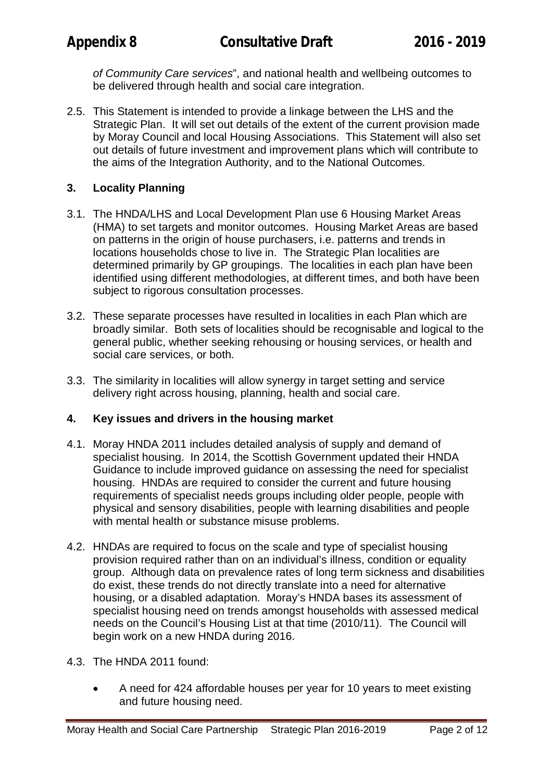*of Community Care services*", and national health and wellbeing outcomes to be delivered through health and social care integration.

2.5. This Statement is intended to provide a linkage between the LHS and the Strategic Plan. It will set out details of the extent of the current provision made by Moray Council and local Housing Associations. This Statement will also set out details of future investment and improvement plans which will contribute to the aims of the Integration Authority, and to the National Outcomes.

# **3. Locality Planning**

- 3.1. The HNDA/LHS and Local Development Plan use 6 Housing Market Areas (HMA) to set targets and monitor outcomes. Housing Market Areas are based on patterns in the origin of house purchasers, i.e. patterns and trends in locations households chose to live in. The Strategic Plan localities are determined primarily by GP groupings. The localities in each plan have been identified using different methodologies, at different times, and both have been subject to rigorous consultation processes.
- 3.2. These separate processes have resulted in localities in each Plan which are broadly similar. Both sets of localities should be recognisable and logical to the general public, whether seeking rehousing or housing services, or health and social care services, or both.
- 3.3. The similarity in localities will allow synergy in target setting and service delivery right across housing, planning, health and social care.

# **4. Key issues and drivers in the housing market**

- 4.1. Moray HNDA 2011 includes detailed analysis of supply and demand of specialist housing. In 2014, the Scottish Government updated their HNDA Guidance to include improved guidance on assessing the need for specialist housing. HNDAs are required to consider the current and future housing requirements of specialist needs groups including older people, people with physical and sensory disabilities, people with learning disabilities and people with mental health or substance misuse problems.
- 4.2. HNDAs are required to focus on the scale and type of specialist housing provision required rather than on an individual's illness, condition or equality group. Although data on prevalence rates of long term sickness and disabilities do exist, these trends do not directly translate into a need for alternative housing, or a disabled adaptation. Moray's HNDA bases its assessment of specialist housing need on trends amongst households with assessed medical needs on the Council's Housing List at that time (2010/11). The Council will begin work on a new HNDA during 2016.
- 4.3. The HNDA 2011 found:
	- A need for 424 affordable houses per year for 10 years to meet existing and future housing need.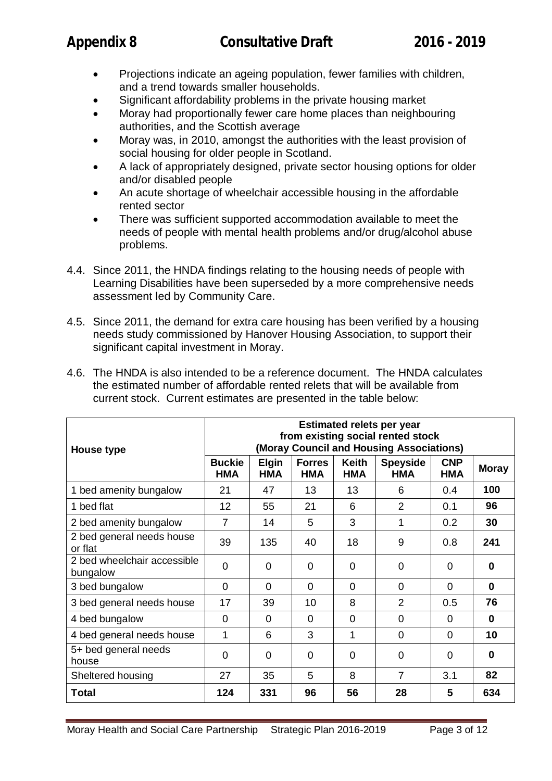- Projections indicate an ageing population, fewer families with children, and a trend towards smaller households.
- Significant affordability problems in the private housing market
- Moray had proportionally fewer care home places than neighbouring authorities, and the Scottish average
- Moray was, in 2010, amongst the authorities with the least provision of social housing for older people in Scotland.
- A lack of appropriately designed, private sector housing options for older and/or disabled people
- An acute shortage of wheelchair accessible housing in the affordable rented sector
- There was sufficient supported accommodation available to meet the needs of people with mental health problems and/or drug/alcohol abuse problems.
- 4.4. Since 2011, the HNDA findings relating to the housing needs of people with Learning Disabilities have been superseded by a more comprehensive needs assessment led by Community Care.
- 4.5. Since 2011, the demand for extra care housing has been verified by a housing needs study commissioned by Hanover Housing Association, to support their significant capital investment in Moray.
- 4.6. The HNDA is also intended to be a reference document. The HNDA calculates the estimated number of affordable rented relets that will be available from current stock. Current estimates are presented in the table below:

| House type                              | <b>Estimated relets per year</b><br>from existing social rented stock<br>(Moray Council and Housing Associations) |                     |                      |                            |                               |                   |              |
|-----------------------------------------|-------------------------------------------------------------------------------------------------------------------|---------------------|----------------------|----------------------------|-------------------------------|-------------------|--------------|
|                                         | <b>Buckie</b><br><b>HMA</b>                                                                                       | <b>Elgin</b><br>HMA | <b>Forres</b><br>HMA | <b>Keith</b><br><b>HMA</b> | <b>Speyside</b><br><b>HMA</b> | <b>CNP</b><br>HMA | <b>Moray</b> |
| 1 bed amenity bungalow                  | 21                                                                                                                | 47                  | 13                   | 13                         | 6                             | 0.4               | 100          |
| 1 bed flat                              | 12                                                                                                                | 55                  | 21                   | 6                          | $\overline{2}$                | 0.1               | 96           |
| 2 bed amenity bungalow                  | $\overline{7}$                                                                                                    | 14                  | 5                    | 3                          | 1                             | 0.2               | 30           |
| 2 bed general needs house<br>or flat    | 39                                                                                                                | 135                 | 40                   | 18                         | 9                             | 0.8               | 241          |
| 2 bed wheelchair accessible<br>bungalow | $\overline{0}$                                                                                                    | $\Omega$            | $\Omega$             | $\Omega$                   | $\Omega$                      | $\Omega$          | $\Omega$     |
| 3 bed bungalow                          | $\overline{0}$                                                                                                    | $\Omega$            | $\Omega$             | $\Omega$                   | $\Omega$                      | $\Omega$          | $\bf{0}$     |
| 3 bed general needs house               | 17                                                                                                                | 39                  | 10                   | 8                          | $\overline{2}$                | 0.5               | 76           |
| 4 bed bungalow                          | 0                                                                                                                 | $\Omega$            | $\Omega$             | $\Omega$                   | $\Omega$                      | $\Omega$          | $\Omega$     |
| 4 bed general needs house               | 1                                                                                                                 | 6                   | 3                    | 1                          | $\Omega$                      | 0                 | 10           |
| 5+ bed general needs<br>house           | 0                                                                                                                 | $\Omega$            | 0                    | $\Omega$                   | $\Omega$                      | $\Omega$          | 0            |
| Sheltered housing                       | 27                                                                                                                | 35                  | 5                    | 8                          | $\overline{7}$                | 3.1               | 82           |
| <b>Total</b>                            | 124                                                                                                               | 331                 | 96                   | 56                         | 28                            | 5                 | 634          |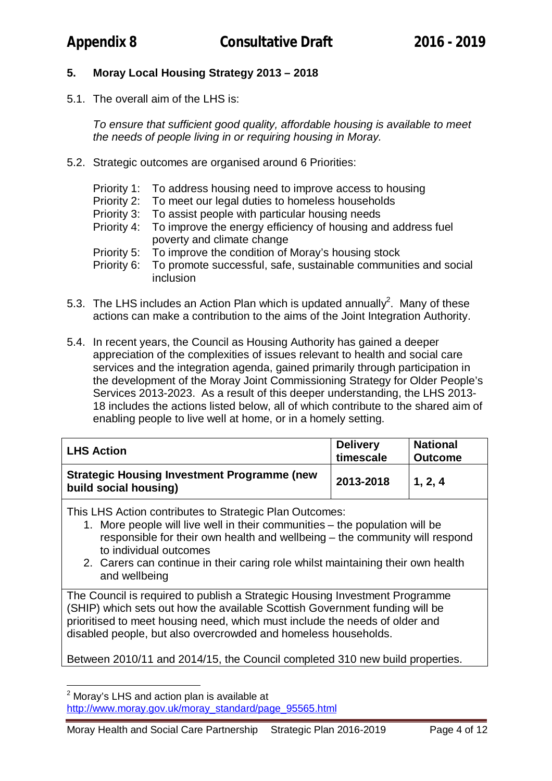# **5. Moray Local Housing Strategy 2013 – 2018**

5.1. The overall aim of the LHS is:

*To ensure that sufficient good quality, affordable housing is available to meet the needs of people living in or requiring housing in Moray.*

- 5.2. Strategic outcomes are organised around 6 Priorities:
	- Priority 1: To address housing need to improve access to housing
	- Priority 2: To meet our legal duties to homeless households
	- Priority 3: To assist people with particular housing needs
	- Priority 4: To improve the energy efficiency of housing and address fuel poverty and climate change
	- Priority 5: To improve the condition of Moray's housing stock<br>Priority 6: To promote successful, safe, sustainable communi
	- To promote successful, safe, sustainable communities and social inclusion
- 5.3. The LHS includes an Action Plan which is updated annually<sup>2</sup>. Many of these actions can make a contribution to the aims of the Joint Integration Authority.
- 5.4. In recent years, the Council as Housing Authority has gained a deeper appreciation of the complexities of issues relevant to health and social care services and the integration agenda, gained primarily through participation in the development of the Moray Joint Commissioning Strategy for Older People's Services 2013-2023. As a result of this deeper understanding, the LHS 2013- 18 includes the actions listed below, all of which contribute to the shared aim of enabling people to live well at home, or in a homely setting.

| <b>LHS Action</b>                                                           | <b>Delivery</b><br>timescale | <b>National</b><br><b>Outcome</b> |
|-----------------------------------------------------------------------------|------------------------------|-----------------------------------|
| <b>Strategic Housing Investment Programme (new</b><br>build social housing) | 2013-2018                    | 1, 2, 4                           |

This LHS Action contributes to Strategic Plan Outcomes:

- 1. More people will live well in their communities the population will be responsible for their own health and wellbeing – the community will respond to individual outcomes
- 2. Carers can continue in their caring role whilst maintaining their own health and wellbeing

The Council is required to publish a Strategic Housing Investment Programme (SHIP) which sets out how the available Scottish Government funding will be prioritised to meet housing need, which must include the needs of older and disabled people, but also overcrowded and homeless households.

Between 2010/11 and 2014/15, the Council completed 310 new build properties.

 $\overline{\phantom{a}}$ 

<sup>&</sup>lt;sup>2</sup> Moray's LHS and action plan is available at http://www.moray.gov.uk/moray\_standard/page\_95565.html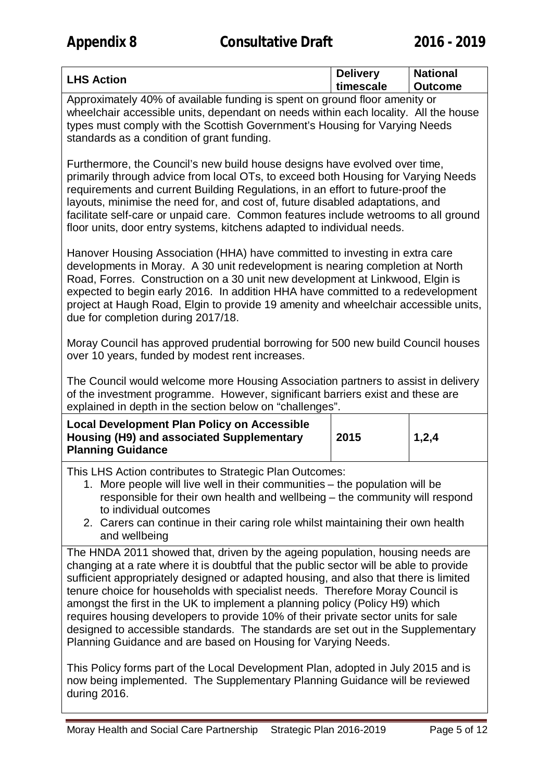|  | <b>LHS Action</b> | <b>Delivery</b><br>timescale | <b>National</b><br><b>Outcome</b> |
|--|-------------------|------------------------------|-----------------------------------|
|--|-------------------|------------------------------|-----------------------------------|

Approximately 40% of available funding is spent on ground floor amenity or wheelchair accessible units, dependant on needs within each locality. All the house types must comply with the Scottish Government's Housing for Varying Needs standards as a condition of grant funding.

Furthermore, the Council's new build house designs have evolved over time, primarily through advice from local OTs, to exceed both Housing for Varying Needs requirements and current Building Regulations, in an effort to future-proof the layouts, minimise the need for, and cost of, future disabled adaptations, and facilitate self-care or unpaid care. Common features include wetrooms to all ground floor units, door entry systems, kitchens adapted to individual needs.

Hanover Housing Association (HHA) have committed to investing in extra care developments in Moray. A 30 unit redevelopment is nearing completion at North Road, Forres. Construction on a 30 unit new development at Linkwood, Elgin is expected to begin early 2016. In addition HHA have committed to a redevelopment project at Haugh Road, Elgin to provide 19 amenity and wheelchair accessible units, due for completion during 2017/18.

Moray Council has approved prudential borrowing for 500 new build Council houses over 10 years, funded by modest rent increases.

The Council would welcome more Housing Association partners to assist in delivery of the investment programme. However, significant barriers exist and these are explained in depth in the section below on "challenges".

| <b>Local Development Plan Policy on Accessible</b> |      |       |
|----------------------------------------------------|------|-------|
| Housing (H9) and associated Supplementary          | 2015 | 1,2,4 |
| <b>Planning Guidance</b>                           |      |       |

This LHS Action contributes to Strategic Plan Outcomes:

- 1. More people will live well in their communities the population will be responsible for their own health and wellbeing – the community will respond to individual outcomes
- 2. Carers can continue in their caring role whilst maintaining their own health and wellbeing

The HNDA 2011 showed that, driven by the ageing population, housing needs are changing at a rate where it is doubtful that the public sector will be able to provide sufficient appropriately designed or adapted housing, and also that there is limited tenure choice for households with specialist needs. Therefore Moray Council is amongst the first in the UK to implement a planning policy (Policy H9) which requires housing developers to provide 10% of their private sector units for sale designed to accessible standards. The standards are set out in the Supplementary Planning Guidance and are based on Housing for Varying Needs.

This Policy forms part of the Local Development Plan, adopted in July 2015 and is now being implemented. The Supplementary Planning Guidance will be reviewed during 2016.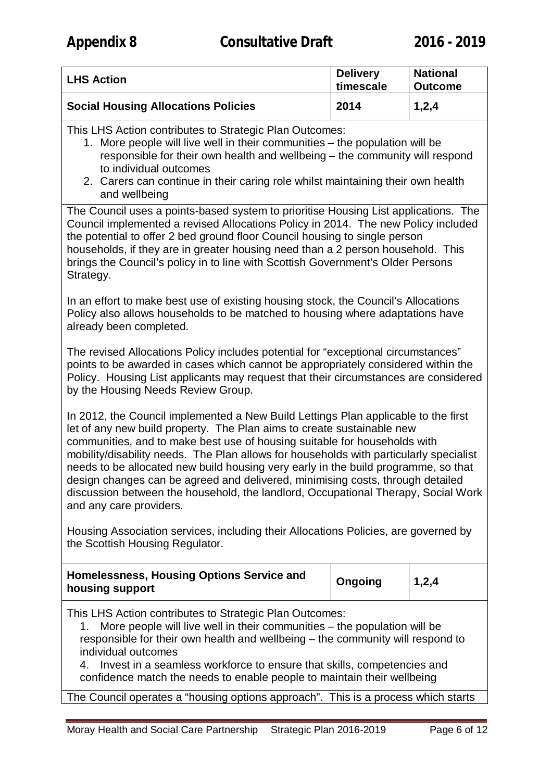| <b>LHS Action</b>                          | <b>Delivery</b><br>timescale | <b>National</b><br><b>Outcome</b> |
|--------------------------------------------|------------------------------|-----------------------------------|
| <b>Social Housing Allocations Policies</b> | 2014                         | 1,2,4                             |

This LHS Action contributes to Strategic Plan Outcomes:

- 1. More people will live well in their communities the population will be responsible for their own health and wellbeing – the community will respond to individual outcomes
- 2. Carers can continue in their caring role whilst maintaining their own health and wellbeing

The Council uses a points-based system to prioritise Housing List applications. The Council implemented a revised Allocations Policy in 2014. The new Policy included the potential to offer 2 bed ground floor Council housing to single person households, if they are in greater housing need than a 2 person household. This brings the Council's policy in to line with Scottish Government's Older Persons Strategy.

In an effort to make best use of existing housing stock, the Council's Allocations Policy also allows households to be matched to housing where adaptations have already been completed.

The revised Allocations Policy includes potential for "exceptional circumstances" points to be awarded in cases which cannot be appropriately considered within the Policy. Housing List applicants may request that their circumstances are considered by the Housing Needs Review Group.

In 2012, the Council implemented a New Build Lettings Plan applicable to the first let of any new build property. The Plan aims to create sustainable new communities, and to make best use of housing suitable for households with mobility/disability needs. The Plan allows for households with particularly specialist needs to be allocated new build housing very early in the build programme, so that design changes can be agreed and delivered, minimising costs, through detailed discussion between the household, the landlord, Occupational Therapy, Social Work and any care providers.

Housing Association services, including their Allocations Policies, are governed by the Scottish Housing Regulator.

| Homelessness, Housing Options Service and<br>housing support | Ongoing | 1,2,4 |  |
|--------------------------------------------------------------|---------|-------|--|
|--------------------------------------------------------------|---------|-------|--|

This LHS Action contributes to Strategic Plan Outcomes:

1. More people will live well in their communities – the population will be responsible for their own health and wellbeing – the community will respond to individual outcomes

4. Invest in a seamless workforce to ensure that skills, competencies and confidence match the needs to enable people to maintain their wellbeing

The Council operates a "housing options approach". This is a process which starts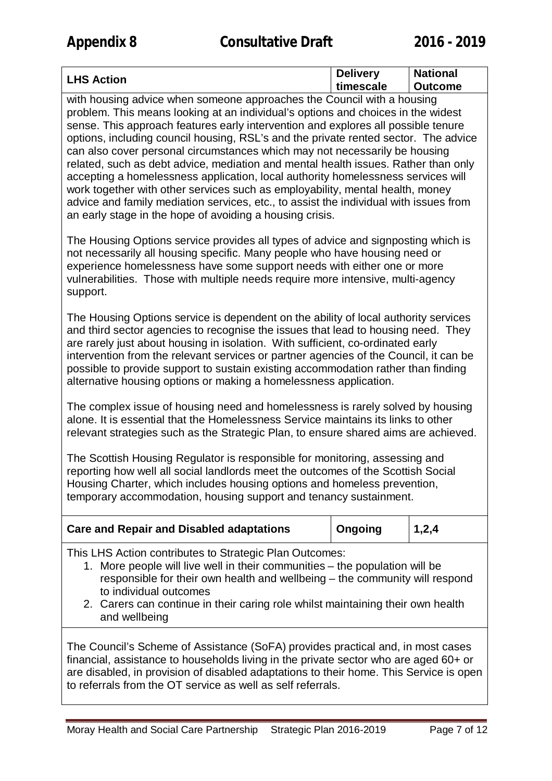| <b>LHS Action</b> | <b>Delivery</b><br><b>National</b> |                |  |
|-------------------|------------------------------------|----------------|--|
|                   | timescale                          | <b>Outcome</b> |  |

with housing advice when someone approaches the Council with a housing problem. This means looking at an individual's options and choices in the widest sense. This approach features early intervention and explores all possible tenure options, including council housing, RSL's and the private rented sector. The advice can also cover personal circumstances which may not necessarily be housing related, such as debt advice, mediation and mental health issues. Rather than only accepting a homelessness application, local authority homelessness services will work together with other services such as employability, mental health, money advice and family mediation services, etc., to assist the individual with issues from an early stage in the hope of avoiding a housing crisis.

The Housing Options service provides all types of advice and signposting which is not necessarily all housing specific. Many people who have housing need or experience homelessness have some support needs with either one or more vulnerabilities. Those with multiple needs require more intensive, multi-agency support.

The Housing Options service is dependent on the ability of local authority services and third sector agencies to recognise the issues that lead to housing need. They are rarely just about housing in isolation. With sufficient, co-ordinated early intervention from the relevant services or partner agencies of the Council, it can be possible to provide support to sustain existing accommodation rather than finding alternative housing options or making a homelessness application.

The complex issue of housing need and homelessness is rarely solved by housing alone. It is essential that the Homelessness Service maintains its links to other relevant strategies such as the Strategic Plan, to ensure shared aims are achieved.

The Scottish Housing Regulator is responsible for monitoring, assessing and reporting how well all social landlords meet the outcomes of the Scottish Social Housing Charter, which includes housing options and homeless prevention, temporary accommodation, housing support and tenancy sustainment.

| <b>Care and Repair and Disabled adaptations</b>                                                                                                                                                                                                                                                                                                     | Ongoing | 1,2,4 |  |  |
|-----------------------------------------------------------------------------------------------------------------------------------------------------------------------------------------------------------------------------------------------------------------------------------------------------------------------------------------------------|---------|-------|--|--|
| This LHS Action contributes to Strategic Plan Outcomes:<br>1. More people will live well in their communities - the population will be<br>responsible for their own health and wellbeing - the community will respond<br>to individual outcomes<br>2. Carers can continue in their caring role whilst maintaining their own health<br>and wellbeing |         |       |  |  |
| The Council's Scheme of Assistance (SoFA) provides practical and, in most cases<br>financial, assistance to households living in the private sector who are aged 60+ or<br>are disabled, in provision of disabled adaptations to their home. This Service is open<br>to referrals from the OT service as well as self referrals.                    |         |       |  |  |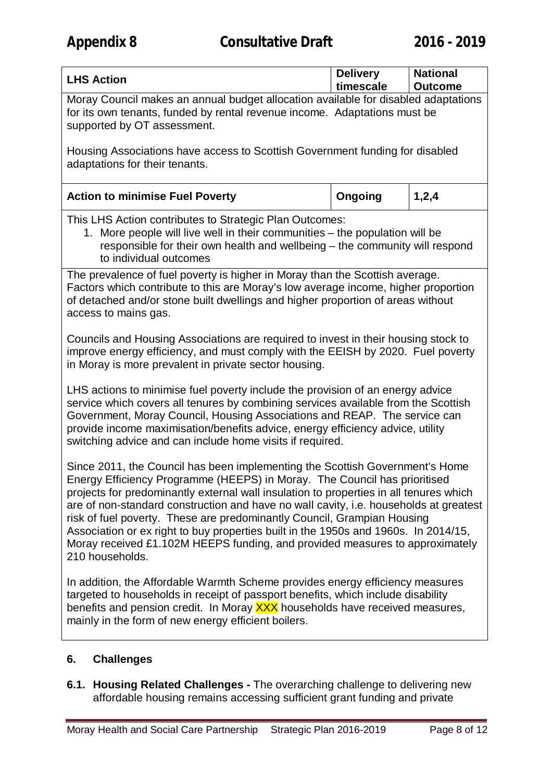| <b>LHS Action</b>                                                                                                                                                                                                                                                                                                                                                                                                                                                                                                                                                                                                 | <b>Delivery</b><br>timescale | <b>National</b><br><b>Outcome</b> |  |  |
|-------------------------------------------------------------------------------------------------------------------------------------------------------------------------------------------------------------------------------------------------------------------------------------------------------------------------------------------------------------------------------------------------------------------------------------------------------------------------------------------------------------------------------------------------------------------------------------------------------------------|------------------------------|-----------------------------------|--|--|
| Moray Council makes an annual budget allocation available for disabled adaptations<br>for its own tenants, funded by rental revenue income. Adaptations must be<br>supported by OT assessment.                                                                                                                                                                                                                                                                                                                                                                                                                    |                              |                                   |  |  |
| Housing Associations have access to Scottish Government funding for disabled<br>adaptations for their tenants.                                                                                                                                                                                                                                                                                                                                                                                                                                                                                                    |                              |                                   |  |  |
| <b>Action to minimise Fuel Poverty</b>                                                                                                                                                                                                                                                                                                                                                                                                                                                                                                                                                                            | Ongoing                      | 1,2,4                             |  |  |
| This LHS Action contributes to Strategic Plan Outcomes:<br>1. More people will live well in their communities - the population will be<br>responsible for their own health and wellbeing - the community will respond<br>to individual outcomes                                                                                                                                                                                                                                                                                                                                                                   |                              |                                   |  |  |
| The prevalence of fuel poverty is higher in Moray than the Scottish average.<br>Factors which contribute to this are Moray's low average income, higher proportion<br>of detached and/or stone built dwellings and higher proportion of areas without<br>access to mains gas.                                                                                                                                                                                                                                                                                                                                     |                              |                                   |  |  |
| Councils and Housing Associations are required to invest in their housing stock to<br>improve energy efficiency, and must comply with the EEISH by 2020. Fuel poverty<br>in Moray is more prevalent in private sector housing.                                                                                                                                                                                                                                                                                                                                                                                    |                              |                                   |  |  |
| LHS actions to minimise fuel poverty include the provision of an energy advice<br>service which covers all tenures by combining services available from the Scottish<br>Government, Moray Council, Housing Associations and REAP. The service can<br>provide income maximisation/benefits advice, energy efficiency advice, utility<br>switching advice and can include home visits if required.                                                                                                                                                                                                                  |                              |                                   |  |  |
| Since 2011, the Council has been implementing the Scottish Government's Home<br>Energy Efficiency Programme (HEEPS) in Moray. The Council has prioritised<br>projects for predominantly external wall insulation to properties in all tenures which<br>are of non-standard construction and have no wall cavity, i.e. households at greatest<br>risk of fuel poverty. These are predominantly Council, Grampian Housing<br>Association or ex right to buy properties built in the 1950s and 1960s. In 2014/15,<br>Moray received £1.102M HEEPS funding, and provided measures to approximately<br>210 households. |                              |                                   |  |  |
| In addition, the Affordable Warmth Scheme provides energy efficiency measures<br>targeted to households in receipt of passport benefits, which include disability<br>benefits and pension credit. In Moray XXX households have received measures,<br>mainly in the form of new energy efficient boilers.                                                                                                                                                                                                                                                                                                          |                              |                                   |  |  |
| <b>Challenges</b><br>6.                                                                                                                                                                                                                                                                                                                                                                                                                                                                                                                                                                                           |                              |                                   |  |  |

**6.1. Housing Related Challenges -** The overarching challenge to delivering new affordable housing remains accessing sufficient grant funding and private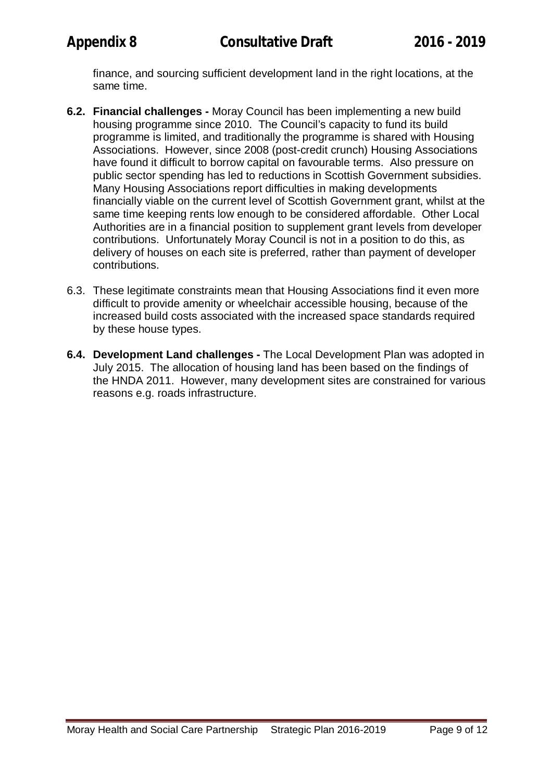finance, and sourcing sufficient development land in the right locations, at the same time.

- **6.2. Financial challenges -** Moray Council has been implementing a new build housing programme since 2010. The Council's capacity to fund its build programme is limited, and traditionally the programme is shared with Housing Associations. However, since 2008 (post-credit crunch) Housing Associations have found it difficult to borrow capital on favourable terms. Also pressure on public sector spending has led to reductions in Scottish Government subsidies. Many Housing Associations report difficulties in making developments financially viable on the current level of Scottish Government grant, whilst at the same time keeping rents low enough to be considered affordable. Other Local Authorities are in a financial position to supplement grant levels from developer contributions. Unfortunately Moray Council is not in a position to do this, as delivery of houses on each site is preferred, rather than payment of developer contributions.
- 6.3. These legitimate constraints mean that Housing Associations find it even more difficult to provide amenity or wheelchair accessible housing, because of the increased build costs associated with the increased space standards required by these house types.
- **6.4. Development Land challenges -** The Local Development Plan was adopted in July 2015. The allocation of housing land has been based on the findings of the HNDA 2011. However, many development sites are constrained for various reasons e.g. roads infrastructure.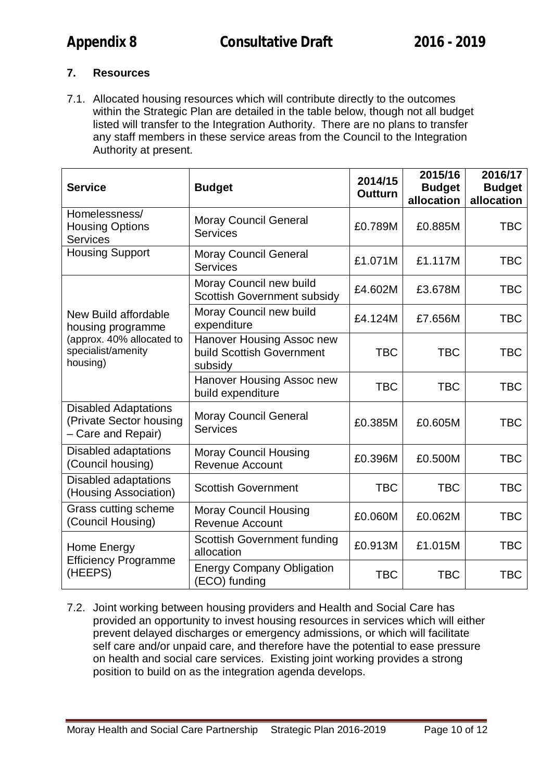# **7. Resources**

7.1. Allocated housing resources which will contribute directly to the outcomes within the Strategic Plan are detailed in the table below, though not all budget listed will transfer to the Integration Authority. There are no plans to transfer any staff members in these service areas from the Council to the Integration Authority at present.

| <b>Service</b>                                                               | <b>Budget</b>                                                     | 2014/15<br><b>Outturn</b> | 2015/16<br><b>Budget</b><br>allocation | 2016/17<br><b>Budget</b><br>allocation |
|------------------------------------------------------------------------------|-------------------------------------------------------------------|---------------------------|----------------------------------------|----------------------------------------|
| Homelessness/<br><b>Housing Options</b><br><b>Services</b>                   | <b>Moray Council General</b><br><b>Services</b>                   | £0.789M                   | £0.885M                                | <b>TBC</b>                             |
| <b>Housing Support</b>                                                       | <b>Moray Council General</b><br><b>Services</b>                   | £1.071M                   | £1.117M                                | <b>TBC</b>                             |
|                                                                              | Moray Council new build<br><b>Scottish Government subsidy</b>     | £4.602M                   | £3.678M                                | <b>TBC</b>                             |
| New Build affordable<br>housing programme                                    | Moray Council new build<br>expenditure                            | £4.124M                   | £7.656M                                | <b>TBC</b>                             |
| (approx. 40% allocated to<br>specialist/amenity<br>housing)                  | Hanover Housing Assoc new<br>build Scottish Government<br>subsidy | <b>TBC</b>                | <b>TBC</b>                             | <b>TBC</b>                             |
|                                                                              | Hanover Housing Assoc new<br>build expenditure                    | <b>TBC</b>                | <b>TBC</b>                             | <b>TBC</b>                             |
| <b>Disabled Adaptations</b><br>(Private Sector housing<br>- Care and Repair) | <b>Moray Council General</b><br><b>Services</b>                   | £0.385M                   | £0.605M                                | <b>TBC</b>                             |
| <b>Disabled adaptations</b><br>(Council housing)                             | <b>Moray Council Housing</b><br><b>Revenue Account</b>            | £0.396M                   | £0.500M                                | <b>TBC</b>                             |
| <b>Disabled adaptations</b><br>(Housing Association)                         | <b>Scottish Government</b>                                        | <b>TBC</b>                | <b>TBC</b>                             | <b>TBC</b>                             |
| Grass cutting scheme<br>(Council Housing)                                    | <b>Moray Council Housing</b><br><b>Revenue Account</b>            | £0.060M                   | £0.062M                                | <b>TBC</b>                             |
| Home Energy<br><b>Efficiency Programme</b><br>(HEEPS)                        | <b>Scottish Government funding</b><br>allocation                  | £0.913M                   | £1.015M                                | <b>TBC</b>                             |
|                                                                              | <b>Energy Company Obligation</b><br>(ECO) funding                 | <b>TBC</b>                | <b>TBC</b>                             | <b>TBC</b>                             |

7.2. Joint working between housing providers and Health and Social Care has provided an opportunity to invest housing resources in services which will either prevent delayed discharges or emergency admissions, or which will facilitate self care and/or unpaid care, and therefore have the potential to ease pressure on health and social care services. Existing joint working provides a strong position to build on as the integration agenda develops.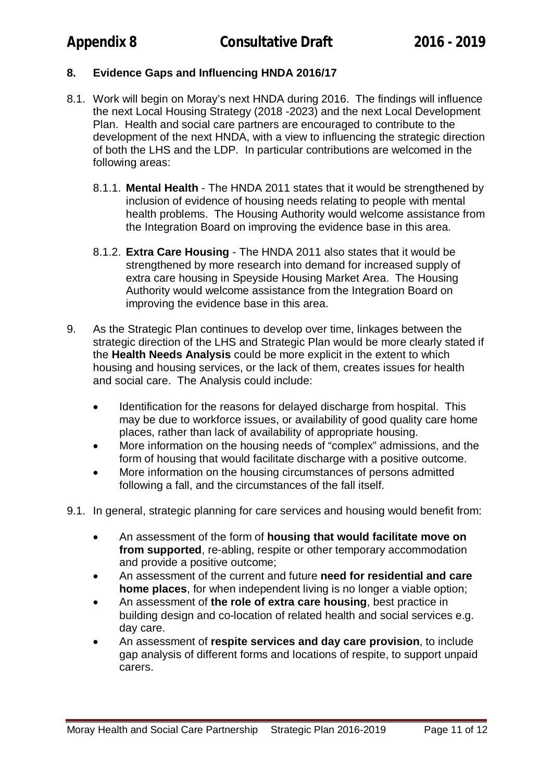## **8. Evidence Gaps and Influencing HNDA 2016/17**

- 8.1. Work will begin on Moray's next HNDA during 2016. The findings will influence the next Local Housing Strategy (2018 -2023) and the next Local Development Plan. Health and social care partners are encouraged to contribute to the development of the next HNDA, with a view to influencing the strategic direction of both the LHS and the LDP. In particular contributions are welcomed in the following areas:
	- 8.1.1. **Mental Health** The HNDA 2011 states that it would be strengthened by inclusion of evidence of housing needs relating to people with mental health problems. The Housing Authority would welcome assistance from the Integration Board on improving the evidence base in this area.
	- 8.1.2. **Extra Care Housing** The HNDA 2011 also states that it would be strengthened by more research into demand for increased supply of extra care housing in Speyside Housing Market Area. The Housing Authority would welcome assistance from the Integration Board on improving the evidence base in this area.
- 9. As the Strategic Plan continues to develop over time, linkages between the strategic direction of the LHS and Strategic Plan would be more clearly stated if the **Health Needs Analysis** could be more explicit in the extent to which housing and housing services, or the lack of them, creates issues for health and social care. The Analysis could include:
	- Identification for the reasons for delayed discharge from hospital. This may be due to workforce issues, or availability of good quality care home places, rather than lack of availability of appropriate housing.
	- More information on the housing needs of "complex" admissions, and the form of housing that would facilitate discharge with a positive outcome.
	- More information on the housing circumstances of persons admitted following a fall, and the circumstances of the fall itself.
- 9.1. In general, strategic planning for care services and housing would benefit from:
	- An assessment of the form of **housing that would facilitate move on from supported**, re-abling, respite or other temporary accommodation and provide a positive outcome;
	- An assessment of the current and future **need for residential and care home places**, for when independent living is no longer a viable option;
	- An assessment of **the role of extra care housing**, best practice in building design and co-location of related health and social services e.g. day care.
	- An assessment of **respite services and day care provision**, to include gap analysis of different forms and locations of respite, to support unpaid carers.